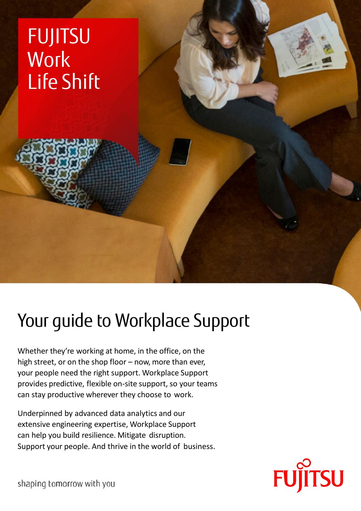

# Your guide to Workplace Support

Whether they're working at home, in the office, on the high street, or on the shop floor – now, more than ever, your people need the right support. Workplace Support provides predictive, flexible on-site support, so your teams can stay productive wherever they choose to work.

Underpinned by advanced data analytics and our extensive engineering expertise, Workplace Support can help you build resilience. Mitigate disruption. Support your people. And thrive in the world of business.



shaping tomorrow with you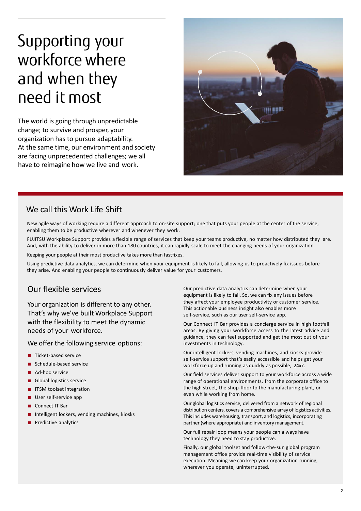### Supporting your workforce where and when they need it most

The world is going through unpredictable change; to survive and prosper, your organization has to pursue adaptability. At the same time, our environment and society are facing unprecedented challenges; we all have to reimagine how we live and work.



#### We call this Work Life Shift

New agile ways of working require a different approach to on-site support; one that puts your people at the center of the service, enabling them to be productive wherever and whenever they work.

FUJITSU Workplace Support provides a flexible range of services that keep your teams productive, no matter how distributed they are. And, with the ability to deliver in more than 180 countries, it can rapidly scale to meet the changing needs of your organization.

Keeping your people at their most productive takes more than fastfixes.

Using predictive data analytics, we can determine when your equipment is likely to fail, allowing us to proactively fix issues before they arise. And enabling your people to continuously deliver value for your customers.

#### Our flexible services

Your organization is different to any other. That's why we've built Workplace Support with the flexibility to meet the dynamic needs of your workforce.

We offer the following service options:

- Ticket-based service
- Schedule-based service
- Ad-hoc service
- Global logistics service
- ITSM toolset integration
- User self-service app
- Connect IT Bar
- Intelligent lockers, vending machines, kiosks
- Predictive analytics

Our predictive data analytics can determine when your equipment is likely to fail. So, we can fix any issues before they affect your employee productivity or customer service. This actionable business insight also enables more self-service, such as our user self-service app.

Our Connect IT Bar provides a concierge service in high footfall areas. By giving your workforce access to the latest advice and guidance, they can feel supported and get the most out of your investments in technology.

Our intelligent lockers, vending machines, and kiosks provide self-service support that's easily accessible and helps get your workforce up and running as quickly as possible, 24x7.

Our field services deliver support to your workforce across a wide range of operational environments, from the corporate office to the high street, the shop-floor to the manufacturing plant, or even while working from home.

Our global logistics service, delivered from a network of regional distribution centers, covers a comprehensive array of logistics activities. This includes warehousing, transport, and logistics, incorporating partner (where appropriate) and inventory management.

Our full repair loop means your people can always have technology they need to stay productive.

Finally, our global toolset and follow-the-sun global program management office provide real-time visibility of service execution. Meaning we can keep your organization running, wherever you operate, uninterrupted.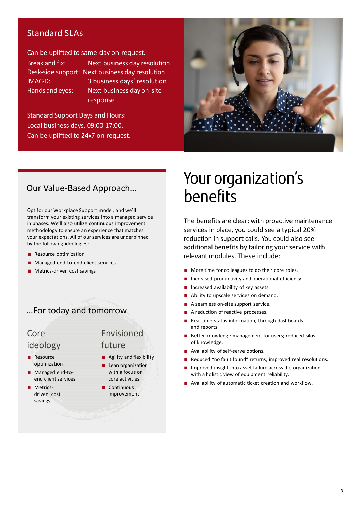#### Standard SLAs

Can be uplifted to same-day on request.

Break and fix: Next business day resolution Desk-side support: Next business day resolution IMAC-D: 3 business days' resolution Hands and eyes: Next business day on-site response

Standard Support Days and Hours: Local business days, 09:00-17:00. Can be uplifted to 24x7 on request.



#### Our Value-Based Approach…

Opt for our Workplace Support model, and we'll transform your existing services into a managed service in phases. We'll also utilize continuous improvement methodology to ensure an experience that matches your expectations. All of our services are underpinned by the following ideologies:

- Resource optimization
- Managed end-to-end client services
- Metrics-driven cost savings

#### …For today and tomorrow

#### Core ideology

- **Resource** optimization
- Managed end-toend client services
- Metricsdriven cost savings

#### Envisioned

#### future

- Agility and flexibility
- Lean organization with a focus on core activities
- Continuous improvement

### Your organization's benefits

The benefits are clear; with proactive maintenance services in place, you could see a typical 20% reduction in support calls. You could also see additional benefits by tailoring your service with relevant modules. These include:

- More time for colleagues to do their core roles.
- Increased productivity and operational efficiency.
- Increased availability of key assets.
- Ability to upscale services on demand.
- A seamless on-site support service.
- A reduction of reactive processes.
- Real-time status information, through dashboards and reports.
- Better knowledge management for users; reduced silos of knowledge.
- Availability of self-serve options.
- Reduced "no fault found" returns; improved real resolutions.
- Improved insight into asset failure across the organization, with a holistic view of equipment reliability.
- Availability of automatic ticket creation and workflow.